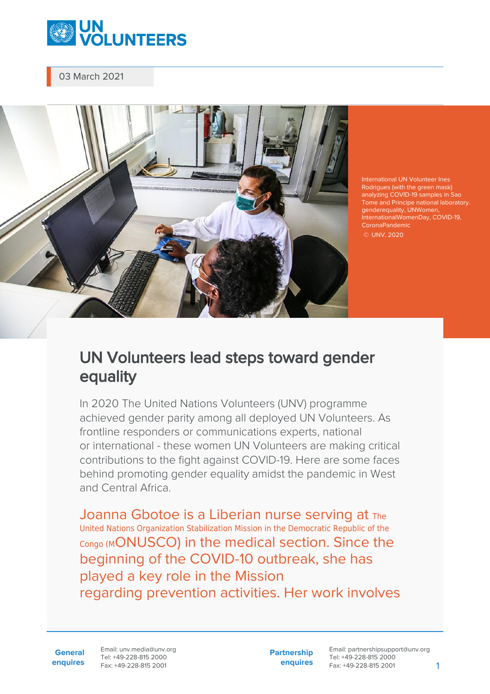

03 March 2021



International UN Volunteer Ines Rodrigues (with the green mask) analyzing COVID-19 samples in Sao Tome and Principe national laboratory. genderequality, UNWomen, InternationalWomenDay, COVID-19, CoronaPandemic

## © UNV, 2020

## UN Volunteers lead steps toward gender equality

In 2020 The United Nations Volunteers (UNV) programme achieved gender parity among all deployed UN Volunteers. As frontline responders or communications experts, national or international - these women UN Volunteers are making critical contributions to the fight against COVID-19. Here are some faces behind promoting gender equality amidst the pandemic in West and Central Africa.

Joanna Gbotoe is a Liberian nurse serving at The United Nations Organization Stabilization Mission in the Democratic Republic of the Congo (MONUSCO) in the medical section. Since the beginning of the COVID-10 outbreak, she has played a key role in the Mission regarding prevention activities. Her work involves

Email: unv.media@unv.org Tel: +49-228-815 2000 Fax: +49-228-815 2001

**Partnership enquires**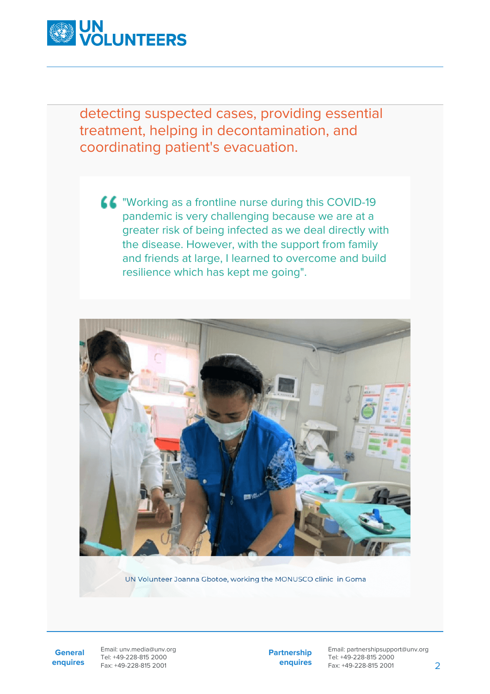

detecting suspected cases, providing essential treatment, helping in decontamination, and coordinating patient's evacuation.

**44** "Working as a frontline nurse during this COVID-19 pandemic is very challenging because we are at a greater risk of being infected as we deal directly with the disease. However, with the support from family and friends at large, I learned to overcome and build resilience which has kept me going".



UN Volunteer Joanna Gbotoe, working the MONUSCO clinic in Goma

**General enquires** Email: unv.media@unv.org Tel: +49-228-815 2000 Fax: +49-228-815 2001

**Partnership enquires**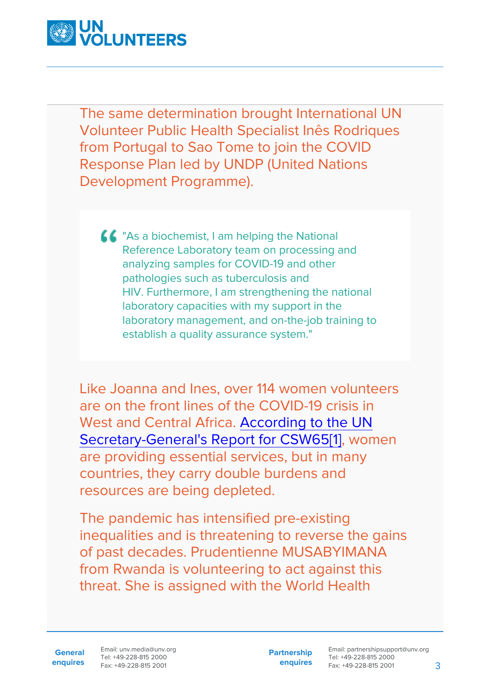

The same determination brought International UN Volunteer Public Health Specialist Inês Rodriques from Portugal to Sao Tome to join the COVID Response Plan led by UNDP (United Nations Development Programme).

**44** "As a biochemist, I am helping the National Reference Laboratory team on processing and analyzing samples for COVID-19 and other pathologies such as tuberculosis and HIV. Furthermore, I am strengthening the national laboratory capacities with my support in the laboratory management, and on-the-job training to establish a quality assurance system."

<span id="page-2-0"></span>Like Joanna and Ines, over 114 women volunteers are on the front lines of the COVID-19 crisis in West and Central Africa. [According to the UN](https://undocs.org/E/CN.6/2021/3) [Secretary-General's Report for CSW65](https://undocs.org/E/CN.6/2021/3)[\[1\]](#page-6-0), women are providing essential services, but in many countries, they carry double burdens and resources are being depleted.

The pandemic has intensified pre-existing inequalities and is threatening to reverse the gains of past decades. Prudentienne MUSABYIMANA from Rwanda is volunteering to act against this threat. She is assigned with the World Health

Email: unv.media@unv.org Tel: +49-228-815 2000 Fax: +49-228-815 2001

**Partnership enquires**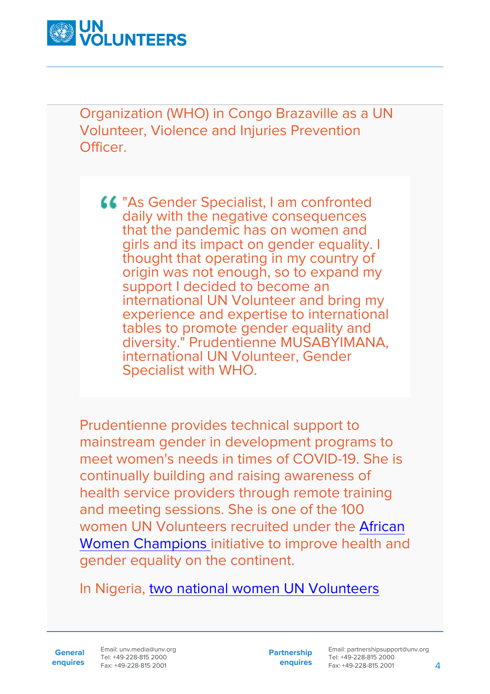

Organization (WHO) in Congo Brazaville as a UN Volunteer, Violence and Injuries Prevention Officer.

"As Gender Specialist, I am confronted daily with the negative consequences that the pandemic has on women and girls and its impact on gender equality. I thought that operating in my country of origin was not enough, so to expand my support I decided to become an international UN Volunteer and bring my experience and expertise to international tables to promote gender equality and diversity." Prudentienne MUSABYIMANA, international UN Volunteer, Gender Specialist with WHO.

Prudentienne provides technical support to mainstream gender in development programs to meet women's needs in times of COVID-19. She is continually building and raising awareness of health service providers through remote training and meeting sessions. She is one of the 100 women UN Volunteers recruited under the [African](https://www.unv.org/Basic-Page/Now-recruiting-UN-Volunteers-Africa-Women-Health-Champions) [Women Champions i](https://www.unv.org/Basic-Page/Now-recruiting-UN-Volunteers-Africa-Women-Health-Champions)nitiative to improve health and gender equality on the continent.

In Nigeria, [two national women UN Volunteers](https://www.youtube.com/watch?v=nYvsXqgtP88)

**General enquires** Email: unv.media@unv.org Tel: +49-228-815 2000 Fax: +49-228-815 2001

**Partnership enquires**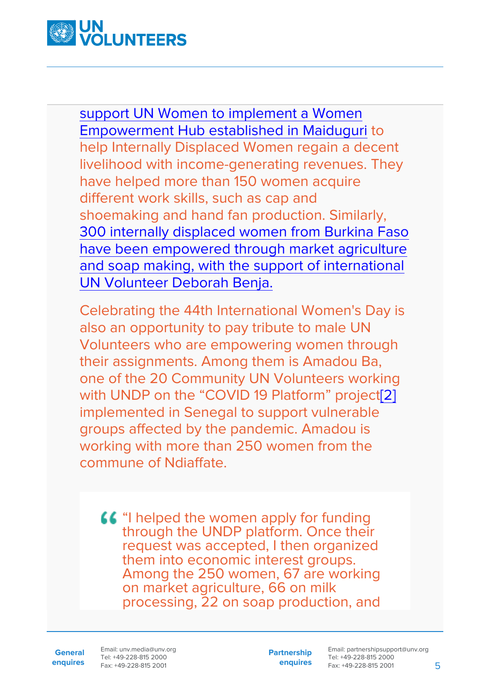

[support UN Women to implement a Women](https://www.youtube.com/watch?v=nYvsXqgtP88) [Empowerment Hub established in Maiduguri](https://www.youtube.com/watch?v=nYvsXqgtP88) to help Internally Displaced Women regain a decent livelihood with income-generating revenues. They have helped more than 150 women acquire different work skills, such as cap and shoemaking and hand fan production. Similarly, [300 internally displaced women from Burkina Faso](https://www.unv.org/Success-stories/How-volunteering-can-enable-women-and-children-regain-decent-life) [have been empowered through market agriculture](https://www.unv.org/Success-stories/How-volunteering-can-enable-women-and-children-regain-decent-life) [and soap making, with the support of international](https://www.unv.org/Success-stories/How-volunteering-can-enable-women-and-children-regain-decent-life) [UN Volunteer Deborah Benja.](https://www.unv.org/Success-stories/How-volunteering-can-enable-women-and-children-regain-decent-life)

<span id="page-4-0"></span>Celebrating the 44th International Women's Day is also an opportunity to pay tribute to male UN Volunteers who are empowering women through their assignments. Among them is Amadou Ba, one of the 20 Community UN Volunteers working with UNDP on the "COVID 19 Platform" project<sup>[2]</sup> implemented in Senegal to support vulnerable groups affected by the pandemic. Amadou is working with more than 250 women from the commune of Ndiaffate.

"I helped the women apply for funding through the UNDP platform. Once their request was accepted, I then organized them into economic interest groups. Among the 250 women, 67 are working on market agriculture, 66 on milk processing, 22 on soap production, and

**General enquires** Email: unv.media@unv.org Tel: +49-228-815 2000 Fax: +49-228-815 2001

**Partnership enquires**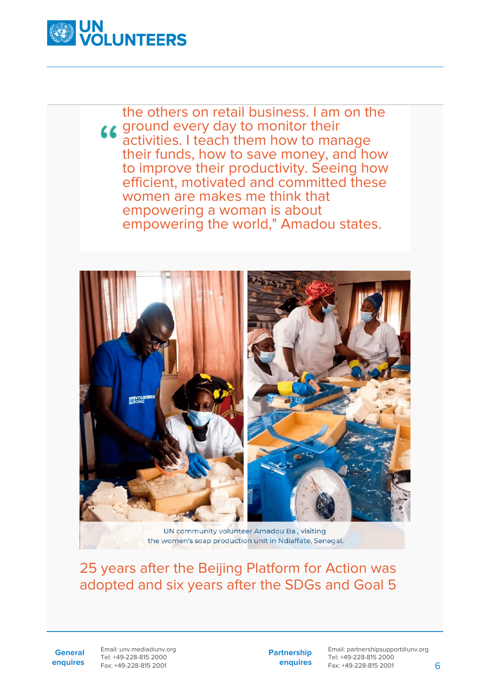

the others on retail business. I am on the **LE** ground every day to monitor their activities. I teach them how to manage their funds, how to save money, and how to improve their productivity. Seeing how efficient, motivated and committed these women are makes me think that empowering a woman is about empowering the world," Amadou states.



UN community volunteer Amadou Ba, visiting the women's soap production unit in Ndiaffate, Senegal.

## 25 years after the Beijing Platform for Action was adopted and six years after the SDGs and Goal 5

**General enquires** Email: unv.media@unv.org Tel: +49-228-815 2000 Fax: +49-228-815 2001

**Partnership enquires**